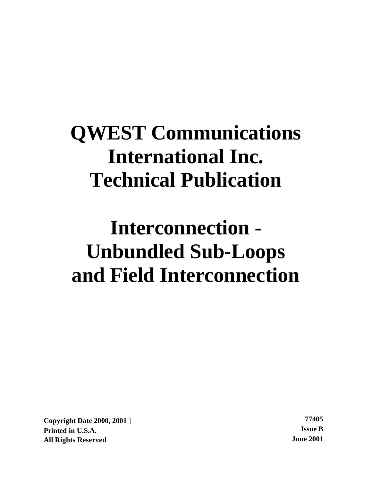# **QWEST Communications International Inc. Technical Publication**

# **Interconnection - Unbundled Sub-Loops and Field Interconnection**

**Copyright Date 2000, 2001Ó 77405 Printed in U.S.A. Issue B All Rights Reserved June 2001**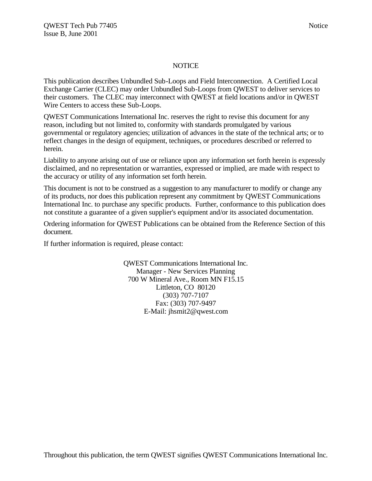#### NOTICE

This publication describes Unbundled Sub-Loops and Field Interconnection. A Certified Local Exchange Carrier (CLEC) may order Unbundled Sub-Loops from QWEST to deliver services to their customers. The CLEC may interconnect with QWEST at field locations and/or in QWEST Wire Centers to access these Sub-Loops.

QWEST Communications International Inc. reserves the right to revise this document for any reason, including but not limited to, conformity with standards promulgated by various governmental or regulatory agencies; utilization of advances in the state of the technical arts; or to reflect changes in the design of equipment, techniques, or procedures described or referred to herein.

Liability to anyone arising out of use or reliance upon any information set forth herein is expressly disclaimed, and no representation or warranties, expressed or implied, are made with respect to the accuracy or utility of any information set forth herein.

This document is not to be construed as a suggestion to any manufacturer to modify or change any of its products, nor does this publication represent any commitment by QWEST Communications International Inc. to purchase any specific products. Further, conformance to this publication does not constitute a guarantee of a given supplier's equipment and/or its associated documentation.

Ordering information for QWEST Publications can be obtained from the Reference Section of this document.

If further information is required, please contact:

QWEST Communications International Inc. Manager - New Services Planning 700 W Mineral Ave., Room MN F15.15 Littleton, CO 80120 (303) 707-7107 Fax: (303) 707-9497 E-Mail: jhsmit2@qwest.com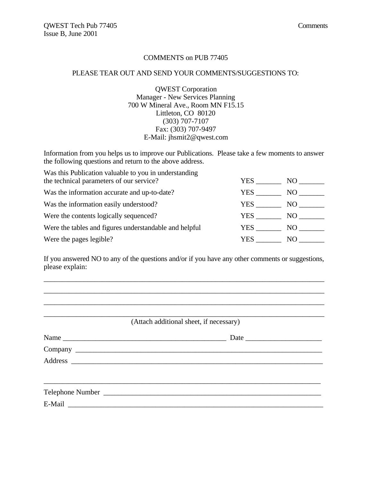#### COMMENTS on PUB 77405

#### PLEASE TEAR OUT AND SEND YOUR COMMENTS/SUGGESTIONS TO:

QWEST Corporation Manager - New Services Planning 700 W Mineral Ave., Room MN F15.15 Littleton, CO 80120 (303) 707-7107 Fax: (303) 707-9497 E-Mail: jhsmit2@qwest.com

Information from you helps us to improve our Publications. Please take a few moments to answer the following questions and return to the above address.

| Was this Publication valuable to you in understanding  |      |     |
|--------------------------------------------------------|------|-----|
| the technical parameters of our service?               | YES. | NO. |
| Was the information accurate and up-to-date?           | YES. | NO. |
| Was the information easily understood?                 | YES. | NO. |
| Were the contents logically sequenced?                 | YES  | NO. |
| Were the tables and figures understandable and helpful | YES  | NO  |
| Were the pages legible?                                | YES. | NO. |

If you answered NO to any of the questions and/or if you have any other comments or suggestions, please explain:

\_\_\_\_\_\_\_\_\_\_\_\_\_\_\_\_\_\_\_\_\_\_\_\_\_\_\_\_\_\_\_\_\_\_\_\_\_\_\_\_\_\_\_\_\_\_\_\_\_\_\_\_\_\_\_\_\_\_\_\_\_\_\_\_\_\_\_\_\_\_\_\_\_\_\_\_\_ \_\_\_\_\_\_\_\_\_\_\_\_\_\_\_\_\_\_\_\_\_\_\_\_\_\_\_\_\_\_\_\_\_\_\_\_\_\_\_\_\_\_\_\_\_\_\_\_\_\_\_\_\_\_\_\_\_\_\_\_\_\_\_\_\_\_\_\_\_\_\_\_\_\_\_\_\_ \_\_\_\_\_\_\_\_\_\_\_\_\_\_\_\_\_\_\_\_\_\_\_\_\_\_\_\_\_\_\_\_\_\_\_\_\_\_\_\_\_\_\_\_\_\_\_\_\_\_\_\_\_\_\_\_\_\_\_\_\_\_\_\_\_\_\_\_\_\_\_\_\_\_\_\_\_

| (Attach additional sheet, if necessary) |  |  |  |  |
|-----------------------------------------|--|--|--|--|
|                                         |  |  |  |  |
|                                         |  |  |  |  |
|                                         |  |  |  |  |
|                                         |  |  |  |  |
|                                         |  |  |  |  |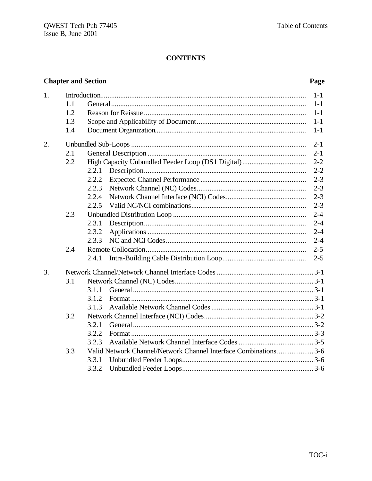### **CONTENTS**

### **Chapter and Section**

### Page

| 1. |     | $1-1$                                                           |  |  |
|----|-----|-----------------------------------------------------------------|--|--|
|    | 1.1 | $1-1$                                                           |  |  |
|    | 1.2 | $1-1$                                                           |  |  |
|    | 1.3 | $1-1$                                                           |  |  |
|    | 1.4 | $1-1$                                                           |  |  |
| 2. |     | $2 - 1$                                                         |  |  |
|    | 2.1 | $2 - 1$                                                         |  |  |
|    | 2.2 | $2 - 2$                                                         |  |  |
|    |     | $2 - 2$<br>2.2.1                                                |  |  |
|    |     | $2 - 3$<br>2.2.2                                                |  |  |
|    |     | $2 - 3$<br>2.2.3                                                |  |  |
|    |     | 2.2.4<br>$2 - 3$                                                |  |  |
|    |     | $2 - 3$<br>2.2.5                                                |  |  |
|    | 2.3 | $2 - 4$                                                         |  |  |
|    |     | 2.3.1<br>$2 - 4$                                                |  |  |
|    |     | $2 - 4$<br>2.3.2                                                |  |  |
|    |     | 2.3.3<br>$2 - 4$                                                |  |  |
|    | 2.4 | $2 - 5$                                                         |  |  |
|    |     | $2 - 5$<br>2.4.1                                                |  |  |
| 3. |     |                                                                 |  |  |
|    | 3.1 |                                                                 |  |  |
|    |     | 3.1.1                                                           |  |  |
|    |     | 3.1.2                                                           |  |  |
|    |     | 3.1.3                                                           |  |  |
|    | 3.2 |                                                                 |  |  |
|    |     | 3.2.1                                                           |  |  |
|    |     | 3.2.2                                                           |  |  |
|    |     | 3.2.3                                                           |  |  |
|    | 3.3 | Valid Network Channel/Network Channel Interface Combinations3-6 |  |  |
|    |     | 3.3.1                                                           |  |  |
|    |     | 3.3.2                                                           |  |  |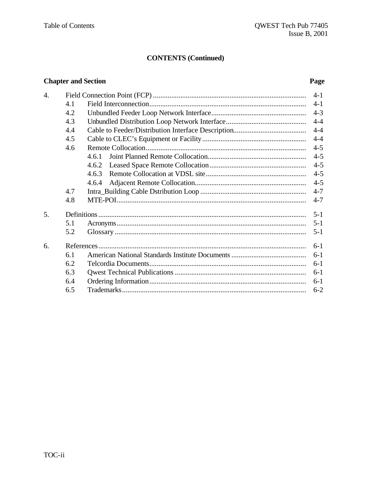### **CONTENTS (Continued)**

### **Chapter and Section**

### Page

| $\overline{4}$ . |     |       | $4 - 1$ |
|------------------|-----|-------|---------|
|                  | 4.1 |       | $4-1$   |
|                  | 4.2 |       | $4 - 3$ |
|                  | 4.3 |       | $4 - 4$ |
|                  | 4.4 |       | $4 - 4$ |
|                  | 4.5 |       | $4 - 4$ |
|                  | 4.6 |       | $4 - 5$ |
|                  |     | 4.6.1 | $4 - 5$ |
|                  |     | 4.6.2 | $4 - 5$ |
|                  |     | 4.6.3 | $4 - 5$ |
|                  |     | 4.6.4 | $4 - 5$ |
|                  | 4.7 |       | $4 - 7$ |
|                  | 4.8 |       | $4 - 7$ |
| 5.               |     |       | $5 - 1$ |
|                  | 5.1 |       | $5 - 1$ |
|                  | 5.2 |       | $5 - 1$ |
| 6.               |     |       | $6-1$   |
|                  | 6.1 |       | $6-1$   |
|                  | 6.2 |       | $6 - 1$ |
|                  | 6.3 |       | $6 - 1$ |
|                  | 6.4 |       | $6-1$   |
|                  | 6.5 |       | $6 - 2$ |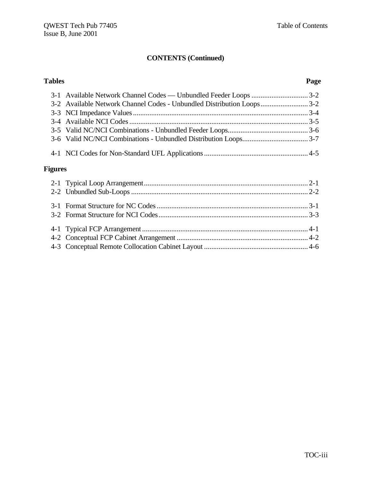### **CONTENTS (Continued)**

| <b>Tables</b>  |                                                                       | Page |
|----------------|-----------------------------------------------------------------------|------|
|                |                                                                       |      |
|                | 3-2 Available Network Channel Codes - Unbundled Distribution Loops3-2 |      |
|                |                                                                       |      |
|                |                                                                       |      |
|                |                                                                       |      |
|                |                                                                       |      |
|                |                                                                       |      |
| <b>Figures</b> |                                                                       |      |
|                |                                                                       |      |
|                |                                                                       |      |
|                |                                                                       |      |
|                |                                                                       |      |
|                |                                                                       |      |
|                |                                                                       |      |
|                |                                                                       |      |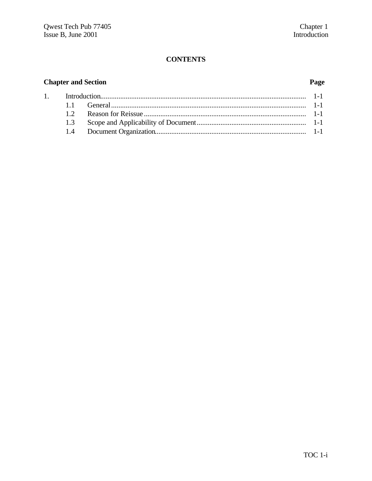### **CONTENTS**

### **Chapter and Section**

### Page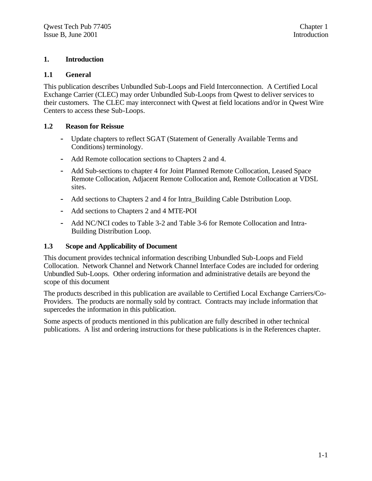#### **1. Introduction**

#### **1.1 General**

This publication describes Unbundled Sub-Loops and Field Interconnection. A Certified Local Exchange Carrier (CLEC) may order Unbundled Sub-Loops from Qwest to deliver services to their customers. The CLEC may interconnect with Qwest at field locations and/or in Qwest Wire Centers to access these Sub-Loops.

#### **1.2 Reason for Reissue**

- **-** Update chapters to reflect SGAT (Statement of Generally Available Terms and Conditions) terminology.
- **-** Add Remote collocation sections to Chapters 2 and 4.
- **-** Add Sub-sections to chapter 4 for Joint Planned Remote Collocation, Leased Space Remote Collocation, Adjacent Remote Collocation and, Remote Collocation at VDSL sites.
- **-** Add sections to Chapters 2 and 4 for Intra\_Building Cable Dstribution Loop.
- **-** Add sections to Chapters 2 and 4 MTE-POI
- **-** Add NC/NCI codes to Table 3-2 and Table 3-6 for Remote Collocation and Intra-Building Distribution Loop.

#### **1.3 Scope and Applicability of Document**

This document provides technical information describing Unbundled Sub-Loops and Field Collocation. Network Channel and Network Channel Interface Codes are included for ordering Unbundled Sub-Loops. Other ordering information and administrative details are beyond the scope of this document

The products described in this publication are available to Certified Local Exchange Carriers/Co-Providers. The products are normally sold by contract. Contracts may include information that supercedes the information in this publication.

Some aspects of products mentioned in this publication are fully described in other technical publications. A list and ordering instructions for these publications is in the References chapter.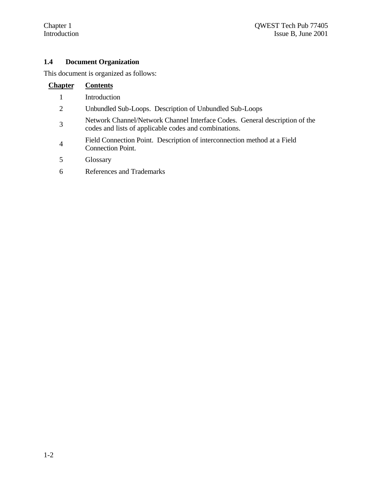#### **1.4 Document Organization**

This document is organized as follows:

## **Chapter Contents**

- 1 Introduction
- 2 Unbundled Sub-Loops. Description of Unbundled Sub-Loops
- 3 Network Channel/Network Channel Interface Codes. General description of the codes and lists of applicable codes and combinations.
- 4 Field Connection Point. Description of interconnection method at a Field Connection Point.
- 5 Glossary
- 6 References and Trademarks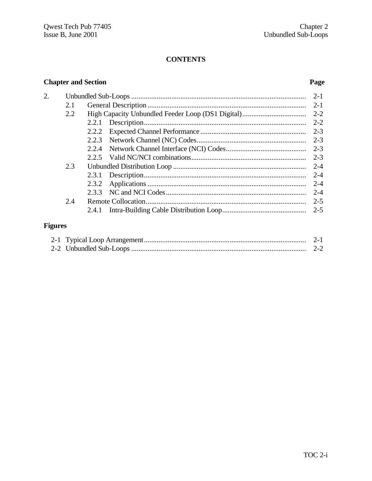### **CONTENTS**

### **Chapter and Section**

### Page

| 2. |     |       | $2 - 1$ |
|----|-----|-------|---------|
|    | 2.1 |       | $2 - 1$ |
|    | 2.2 |       | $2 - 2$ |
|    |     | 2.2.1 | $2 - 2$ |
|    |     | 2.2.2 | $2 - 3$ |
|    |     | 2.2.3 | $2 - 3$ |
|    |     | 2.2.4 | $2 - 3$ |
|    |     |       | $2 - 3$ |
|    | 2.3 |       | $2 - 4$ |
|    |     |       | $2 - 4$ |
|    |     | 2.3.2 | $2 - 4$ |
|    |     | 2.3.3 | $2 - 4$ |
|    | 2.4 |       | $2 - 5$ |
|    |     | 2.4.1 | $2 - 5$ |
|    |     |       |         |

### Figures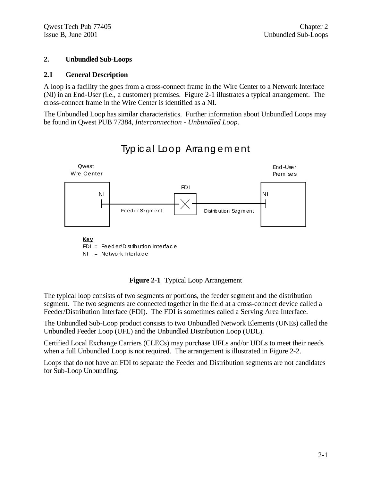#### **2. Unbundled Sub-Loops**

#### **2.1 General Description**

A loop is a facility the goes from a cross-connect frame in the Wire Center to a Network Interface (NI) in an End-User (i.e., a customer) premises. Figure 2-1 illustrates a typical arrangement. The cross-connect frame in the Wire Center is identified as a NI.

The Unbundled Loop has similar characteristics. Further information about Unbundled Loops may be found in Qwest PUB 77384, *Interconnection - Unbundled Loop.*



Typical Loop Arrangement

**Figure 2-1** Typical Loop Arrangement

The typical loop consists of two segments or portions, the feeder segment and the distribution segment. The two segments are connected together in the field at a cross-connect device called a Feeder/Distribution Interface (FDI). The FDI is sometimes called a Serving Area Interface.

The Unbundled Sub-Loop product consists to two Unbundled Network Elements (UNEs) called the Unbundled Feeder Loop (UFL) and the Unbundled Distribution Loop (UDL).

Certified Local Exchange Carriers (CLECs) may purchase UFLs and/or UDLs to meet their needs when a full Unbundled Loop is not required. The arrangement is illustrated in Figure 2-2.

Loops that do not have an FDI to separate the Feeder and Distribution segments are not candidates for Sub-Loop Unbundling.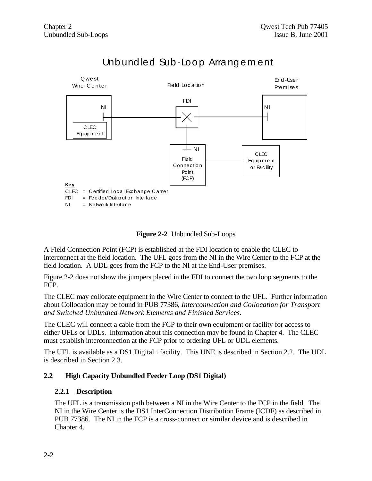

## Unb und led Sub-Loop Arrangement

**Figure 2-2** Unbundled Sub-Loops

A Field Connection Point (FCP) is established at the FDI location to enable the CLEC to interconnect at the field location. The UFL goes from the NI in the Wire Center to the FCP at the field location. A UDL goes from the FCP to the NI at the End-User premises.

Figure 2-2 does not show the jumpers placed in the FDI to connect the two loop segments to the FCP.

The CLEC may collocate equipment in the Wire Center to connect to the UFL. Further information about Collocation may be found in PUB 77386, *Interconnection and Collocation for Transport and Switched Unbundled Network Elements and Finished Services.*

The CLEC will connect a cable from the FCP to their own equipment or facility for access to either UFLs or UDLs. Information about this connection may be found in Chapter 4. The CLEC must establish interconnection at the FCP prior to ordering UFL or UDL elements.

The UFL is available as a DS1 Digital +facility. This UNE is described in Section 2.2. The UDL is described in Section 2.3.

#### **2.2 High Capacity Unbundled Feeder Loop (DS1 Digital)**

#### **2.2.1 Description**

The UFL is a transmission path between a NI in the Wire Center to the FCP in the field. The NI in the Wire Center is the DS1 InterConnection Distribution Frame (ICDF) as described in PUB 77386. The NI in the FCP is a cross-connect or similar device and is described in Chapter 4.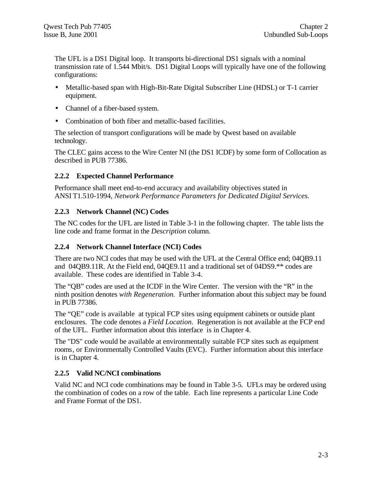The UFL is a DS1 Digital loop. It transports bi-directional DS1 signals with a nominal transmission rate of 1.544 Mbit/s. DS1 Digital Loops will typically have one of the following configurations:

- Metallic-based span with High-Bit-Rate Digital Subscriber Line (HDSL) or T-1 carrier equipment.
- Channel of a fiber-based system.
- Combination of both fiber and metallic-based facilities.

The selection of transport configurations will be made by Qwest based on available technology.

The CLEC gains access to the Wire Center NI (the DS1 ICDF) by some form of Collocation as described in PUB 77386.

#### **2.2.2 Expected Channel Performance**

Performance shall meet end-to-end accuracy and availability objectives stated in ANSI T1.510-1994, *Network Performance Parameters for Dedicated Digital Services.*

#### **2.2.3 Network Channel (NC) Codes**

The NC codes for the UFL are listed in Table 3-1 in the following chapter. The table lists the line code and frame format in the *Description* column.

#### **2.2.4 Network Channel Interface (NCI) Codes**

There are two NCI codes that may be used with the UFL at the Central Office end; 04QB9.11 and 04QB9.11R. At the Field end, 04QE9.11 and a traditional set of 04DS9.\*\* codes are available. These codes are identified in Table 3-4.

The "QB" codes are used at the ICDF in the Wire Center. The version with the "R" in the ninth position denotes *with Regeneration.* Further information about this subject may be found in PUB 77386.

The "QE" code is available at typical FCP sites using equipment cabinets or outside plant enclosures. The code denotes a *Field Location.* Regeneration is not available at the FCP end of the UFL. Further information about this interface is in Chapter 4.

The "DS" code would be available at environmentally suitable FCP sites such as equipment rooms, or Environmentally Controlled Vaults (EVC). Further information about this interface is in Chapter 4.

#### **2.2.5 Valid NC/NCI combinations**

Valid NC and NCI code combinations may be found in Table 3-5. UFLs may be ordered using the combination of codes on a row of the table. Each line represents a particular Line Code and Frame Format of the DS1.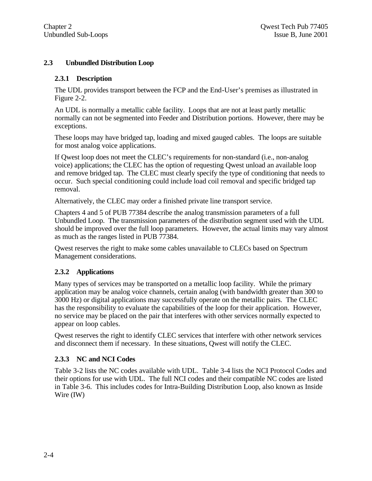#### **2.3 Unbundled Distribution Loop**

#### **2.3.1 Description**

The UDL provides transport between the FCP and the End-User's premises as illustrated in Figure 2-2.

An UDL is normally a metallic cable facility. Loops that are not at least partly metallic normally can not be segmented into Feeder and Distribution portions. However, there may be exceptions.

These loops may have bridged tap, loading and mixed gauged cables. The loops are suitable for most analog voice applications.

If Qwest loop does not meet the CLEC's requirements for non-standard (i.e., non-analog voice) applications; the CLEC has the option of requesting Qwest unload an available loop and remove bridged tap. The CLEC must clearly specify the type of conditioning that needs to occur. Such special conditioning could include load coil removal and specific bridged tap removal.

Alternatively, the CLEC may order a finished private line transport service.

Chapters 4 and 5 of PUB 77384 describe the analog transmission parameters of a full Unbundled Loop. The transmission parameters of the distribution segment used with the UDL should be improved over the full loop parameters. However, the actual limits may vary almost as much as the ranges listed in PUB 77384.

Qwest reserves the right to make some cables unavailable to CLECs based on Spectrum Management considerations.

#### **2.3.2 Applications**

Many types of services may be transported on a metallic loop facility. While the primary application may be analog voice channels, certain analog (with bandwidth greater than 300 to 3000 Hz) or digital applications may successfully operate on the metallic pairs. The CLEC has the responsibility to evaluate the capabilities of the loop for their application. However, no service may be placed on the pair that interferes with other services normally expected to appear on loop cables.

Qwest reserves the right to identify CLEC services that interfere with other network services and disconnect them if necessary. In these situations, Qwest will notify the CLEC.

#### **2.3.3 NC and NCI Codes**

Table 3-2 lists the NC codes available with UDL. Table 3-4 lists the NCI Protocol Codes and their options for use with UDL. The full NCI codes and their compatible NC codes are listed in Table 3-6. This includes codes for Intra-Building Distribution Loop, also known as Inside Wire (IW)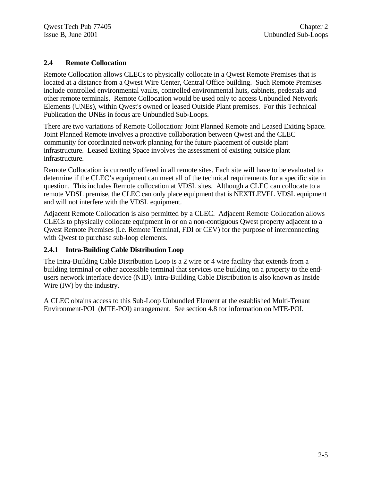#### **2.4 Remote Collocation**

Remote Collocation allows CLECs to physically collocate in a Qwest Remote Premises that is located at a distance from a Qwest Wire Center, Central Office building. Such Remote Premises include controlled environmental vaults, controlled environmental huts, cabinets, pedestals and other remote terminals. Remote Collocation would be used only to access Unbundled Network Elements (UNEs), within Qwest's owned or leased Outside Plant premises. For this Technical Publication the UNEs in focus are Unbundled Sub-Loops.

There are two variations of Remote Collocation: Joint Planned Remote and Leased Exiting Space. Joint Planned Remote involves a proactive collaboration between Qwest and the CLEC community for coordinated network planning for the future placement of outside plant infrastructure. Leased Exiting Space involves the assessment of existing outside plant infrastructure.

Remote Collocation is currently offered in all remote sites. Each site will have to be evaluated to determine if the CLEC's equipment can meet all of the technical requirements for a specific site in question. This includes Remote collocation at VDSL sites. Although a CLEC can collocate to a remote VDSL premise, the CLEC can only place equipment that is NEXTLEVEL VDSL equipment and will not interfere with the VDSL equipment.

Adjacent Remote Collocation is also permitted by a CLEC. Adjacent Remote Collocation allows CLECs to physically collocate equipment in or on a non-contiguous Qwest property adjacent to a Qwest Remote Premises (i.e. Remote Terminal, FDI or CEV) for the purpose of interconnecting with Qwest to purchase sub-loop elements.

#### **2.4.1 Intra-Building Cable Distribution Loop**

The Intra-Building Cable Distribution Loop is a 2 wire or 4 wire facility that extends from a building terminal or other accessible terminal that services one building on a property to the endusers network interface device (NID). Intra-Building Cable Distribution is also known as Inside Wire (IW) by the industry.

A CLEC obtains access to this Sub-Loop Unbundled Element at the established Multi-Tenant Environment-POI (MTE-POI) arrangement. See section 4.8 for information on MTE-POI.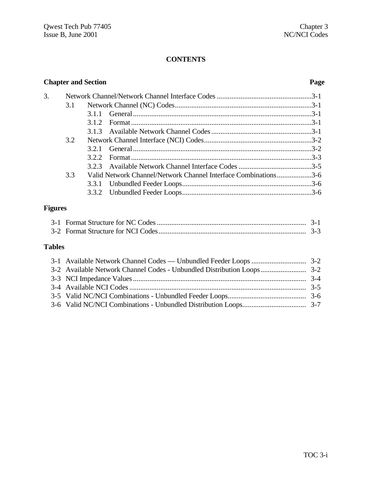#### **CONTENTS**

| <b>Chapter and Section</b> |     |       | Page                                                            |  |
|----------------------------|-----|-------|-----------------------------------------------------------------|--|
| 3.                         |     |       |                                                                 |  |
|                            | 3.1 |       |                                                                 |  |
|                            |     |       |                                                                 |  |
|                            |     | 312   |                                                                 |  |
|                            |     |       |                                                                 |  |
|                            | 3.2 |       |                                                                 |  |
|                            |     | 321   |                                                                 |  |
|                            |     | 3.2.2 |                                                                 |  |
|                            |     |       |                                                                 |  |
|                            | 3.3 |       | Valid Network Channel/Network Channel Interface Combinations3-6 |  |
|                            |     |       |                                                                 |  |
|                            |     |       |                                                                 |  |
|                            |     |       |                                                                 |  |

### **Figures**

### **Tables**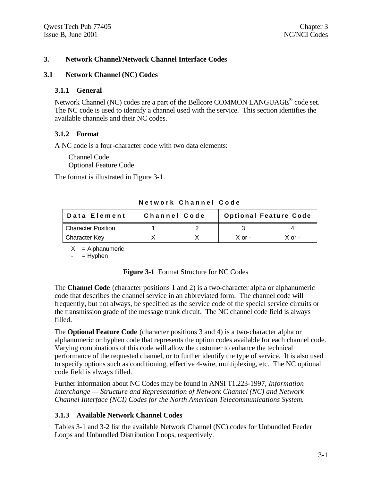#### **3. Network Channel/Network Channel Interface Codes**

#### **3.1 Network Channel (NC) Codes**

#### **3.1.1 General**

Network Channel (NC) codes are a part of the Bellcore COMMON LANGUAGE<sup>®</sup> code set. The NC code is used to identify a channel used with the service. This section identifies the available channels and their NC codes.

#### **3.1.2 Format**

A NC code is a four-character code with two data elements:

Channel Code Optional Feature Code

The format is illustrated in Figure 3-1.

| Data Element              | <b>Channel Code</b> |        | <b>Optional Feature Code</b> |
|---------------------------|---------------------|--------|------------------------------|
| <b>Character Position</b> |                     |        |                              |
| <b>Character Key</b>      |                     | X or - | X or -                       |

**Network Channel Code**

 $X =$  Alphanumeric

 $=$  Hyphen

#### **Figure 3-1** Format Structure for NC Codes

The **Channel Code** (character positions 1 and 2) is a two-character alpha or alphanumeric code that describes the channel service in an abbreviated form. The channel code will frequently, but not always, be specified as the service code of the special service circuits or the transmission grade of the message trunk circuit. The NC channel code field is always filled.

The **Optional Feature Code** (character positions 3 and 4) is a two-character alpha or alphanumeric or hyphen code that represents the option codes available for each channel code. Varying combinations of this code will allow the customer to enhance the technical performance of the requested channel, or to further identify the type of service. It is also used to specify options such as conditioning, effective 4-wire, multiplexing, etc. The NC optional code field is always filled.

Further information about NC Codes may be found in ANSI T1.223-1997, *Information Interchange — Structure and Representation of Network Channel (NC) and Network Channel Interface (NCI) Codes for the North American Telecommunications System.*

#### **3.1.3 Available Network Channel Codes**

Tables 3-1 and 3-2 list the available Network Channel (NC) codes for Unbundled Feeder Loops and Unbundled Distribution Loops, respectively.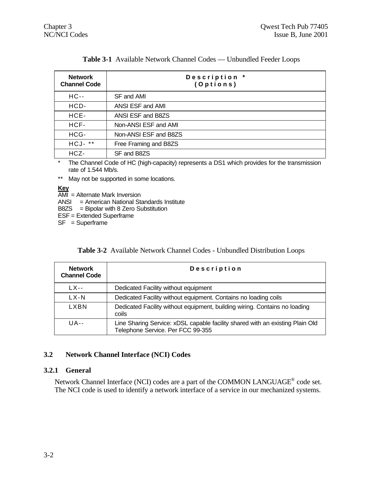| <b>Network</b><br><b>Channel Code</b> | Description *<br>(Options) |
|---------------------------------------|----------------------------|
| $HC -$                                | SF and AMI                 |
| HCD-                                  | ANSI ESF and AMI           |
| HCE-                                  | ANSI ESF and B8ZS          |
| HCF-                                  | Non-ANSI ESF and AMI       |
| HCG-                                  | Non-ANSI ESF and B8ZS      |
| $HCJ-***$                             | Free Framing and B8ZS      |
| HCZ-                                  | SF and B8ZS                |

\* The Channel Code of HC (high-capacity) represents a DS1 which provides for the transmission rate of 1.544 Mb/s.

\*\* May not be supported in some locations.

**Key**

 $\overline{AMI}$  = Alternate Mark Inversion

ANSI = American National Standards Institute

B8ZS = Bipolar with 8 Zero Substitution

ESF = Extended Superframe

SF = Superframe

|  |  |  | <b>Table 3-2</b> Available Network Channel Codes - Unbundled Distribution Loops |
|--|--|--|---------------------------------------------------------------------------------|
|--|--|--|---------------------------------------------------------------------------------|

| <b>Network</b><br><b>Channel Code</b> | Description                                                                                                        |
|---------------------------------------|--------------------------------------------------------------------------------------------------------------------|
| $1$ X--                               | Dedicated Facility without equipment                                                                               |
| LX-N                                  | Dedicated Facility without equipment. Contains no loading coils                                                    |
| LXBN                                  | Dedicated Facility without equipment, building wiring. Contains no loading<br>coils                                |
| $U_{A}$ --                            | Line Sharing Service: xDSL capable facility shared with an existing Plain Old<br>Telephone Service. Per FCC 99-355 |

#### **3.2 Network Channel Interface (NCI) Codes**

#### **3.2.1 General**

Network Channel Interface (NCI) codes are a part of the COMMON LANGUAGE<sup>®</sup> code set. The NCI code is used to identify a network interface of a service in our mechanized systems.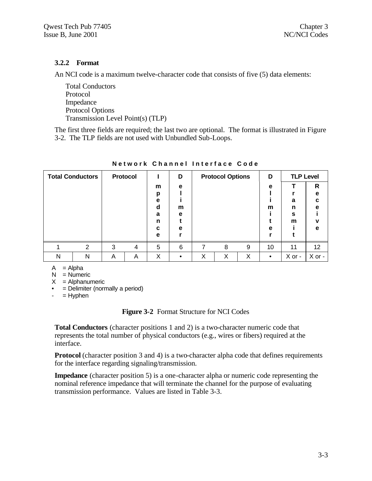#### **3.2.2 Format**

An NCI code is a maximum twelve-character code that consists of five (5) data elements:

Total Conductors Protocol Impedance Protocol Options Transmission Level Point(s) (TLP)

The first three fields are required; the last two are optional. The format is illustrated in Figure 3-2. The TLP fields are not used with Unbundled Sub-Loops.

| <b>Total Conductors</b> |   |   | <b>Protocol</b> |        | D      |   | <b>Protocol Options</b> |   | D         | <b>TLP Level</b> |              |
|-------------------------|---|---|-----------------|--------|--------|---|-------------------------|---|-----------|------------------|--------------|
|                         |   |   |                 | m      | e      |   |                         |   | e         |                  | $\mathsf{R}$ |
|                         |   |   |                 | р<br>е |        |   |                         |   |           | a                | e<br>C       |
|                         |   |   |                 | d<br>a | m<br>e |   |                         |   | m         | n<br>s           | е            |
|                         |   |   |                 | n      |        |   |                         |   |           | m                | v            |
|                         |   |   |                 | c      | е      |   |                         |   | е         |                  | e            |
|                         |   |   |                 | е      |        |   |                         |   |           |                  |              |
|                         | 2 | 3 | 4               | 5      | 6      | 7 | 8                       | 9 | 10        | 11               | 12           |
| N                       | N | Α | Α               | Χ      | ٠      | Χ | X                       | Χ | $\bullet$ | X or -           | X or -       |

**Network Channel Interface Code**

 $A = Alpha$ 

 $N =$  Numeric

 $X =$  Alphanumeric

 $\bullet$  = Delimiter (normally a period)

 $-$  = Hyphen

**Figure 3-2** Format Structure for NCI Codes

**Total Conductors** (character positions 1 and 2) is a two-character numeric code that represents the total number of physical conductors (e.g., wires or fibers) required at the interface.

**Protocol** (character position 3 and 4) is a two-character alpha code that defines requirements for the interface regarding signaling/transmission.

**Impedance** (character position 5) is a one-character alpha or numeric code representing the nominal reference impedance that will terminate the channel for the purpose of evaluating transmission performance. Values are listed in Table 3-3.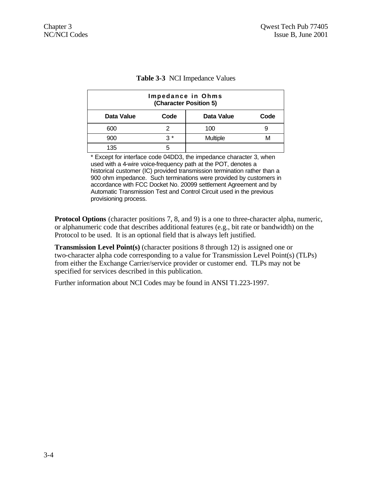| Impedance in Ohms<br>(Character Position 5) |           |                 |      |  |
|---------------------------------------------|-----------|-----------------|------|--|
| Data Value                                  | Code      | Data Value      | Code |  |
| 600                                         |           | 100             |      |  |
| 900                                         | <u>ገ*</u> | <b>Multiple</b> |      |  |
| 135                                         |           |                 |      |  |

#### **Table 3-3** NCI Impedance Values

\* Except for interface code 04DD3, the impedance character 3, when used with a 4-wire voice-frequency path at the POT, denotes a historical customer (IC) provided transmission termination rather than a 900 ohm impedance. Such terminations were provided by customers in accordance with FCC Docket No. 20099 settlement Agreement and by Automatic Transmission Test and Control Circuit used in the previous provisioning process.

**Protocol Options** (character positions 7, 8, and 9) is a one to three-character alpha, numeric, or alphanumeric code that describes additional features (e.g., bit rate or bandwidth) on the Protocol to be used. It is an optional field that is always left justified.

**Transmission Level Point(s)** (character positions 8 through 12) is assigned one or two-character alpha code corresponding to a value for Transmission Level Point(s) (TLPs) from either the Exchange Carrier/service provider or customer end. TLPs may not be specified for services described in this publication.

Further information about NCI Codes may be found in ANSI T1.223-1997.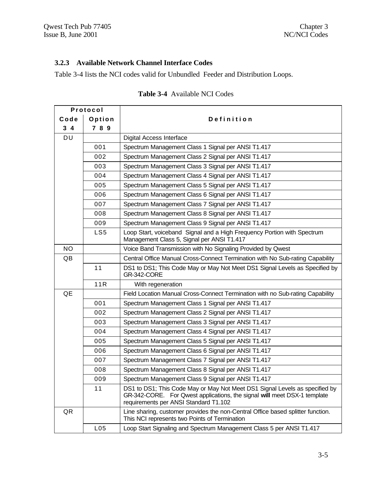#### **3.2.3 Available Network Channel Interface Codes**

Table 3-4 lists the NCI codes valid for Unbundled Feeder and Distribution Loops.

|                | Protocol |                                                                                                                                                                                                  |
|----------------|----------|--------------------------------------------------------------------------------------------------------------------------------------------------------------------------------------------------|
| Code           | Option   | Definition                                                                                                                                                                                       |
| 3 <sub>4</sub> | 7 8 9    |                                                                                                                                                                                                  |
| DU             |          | Digital Access Interface                                                                                                                                                                         |
|                | 001      | Spectrum Management Class 1 Signal per ANSI T1.417                                                                                                                                               |
|                | 002      | Spectrum Management Class 2 Signal per ANSI T1.417                                                                                                                                               |
|                | 003      | Spectrum Management Class 3 Signal per ANSI T1.417                                                                                                                                               |
|                | 004      | Spectrum Management Class 4 Signal per ANSI T1.417                                                                                                                                               |
|                | 005      | Spectrum Management Class 5 Signal per ANSI T1.417                                                                                                                                               |
|                | 006      | Spectrum Management Class 6 Signal per ANSI T1.417                                                                                                                                               |
|                | 007      | Spectrum Management Class 7 Signal per ANSI T1.417                                                                                                                                               |
|                | 008      | Spectrum Management Class 8 Signal per ANSI T1.417                                                                                                                                               |
|                | 009      | Spectrum Management Class 9 Signal per ANSI T1.417                                                                                                                                               |
|                | LS5      | Loop Start, voiceband Signal and a High Frequency Portion with Spectrum<br>Management Class 5, Signal per ANSI T1.417                                                                            |
| <b>NO</b>      |          | Voice Band Transmission with No Signaling Provided by Qwest                                                                                                                                      |
| QB             |          | Central Office Manual Cross-Connect Termination with No Sub-rating Capability                                                                                                                    |
|                | 11       | DS1 to DS1; This Code May or May Not Meet DS1 Signal Levels as Specified by<br><b>GR-342-CORE</b>                                                                                                |
|                | 11R      | With regeneration                                                                                                                                                                                |
| QE             |          | Field Location Manual Cross-Connect Termination with no Sub-rating Capability                                                                                                                    |
|                | 001      | Spectrum Management Class 1 Signal per ANSI T1.417                                                                                                                                               |
|                | 002      | Spectrum Management Class 2 Signal per ANSI T1.417                                                                                                                                               |
|                | 003      | Spectrum Management Class 3 Signal per ANSI T1.417                                                                                                                                               |
|                | 004      | Spectrum Management Class 4 Signal per ANSI T1.417                                                                                                                                               |
|                | 005      | Spectrum Management Class 5 Signal per ANSI T1.417                                                                                                                                               |
|                | 006      | Spectrum Management Class 6 Signal per ANSI T1.417                                                                                                                                               |
|                | 007      | Spectrum Management Class 7 Signal per ANSI T1.417                                                                                                                                               |
|                | 008      | Spectrum Management Class 8 Signal per ANSI T1.417                                                                                                                                               |
|                | 009      | Spectrum Management Class 9 Signal per ANSI T1.417                                                                                                                                               |
|                | 11       | DS1 to DS1; This Code May or May Not Meet DS1 Signal Levels as specified by<br>GR-342-CORE. For Qwest applications, the signal will meet DSX-1 template<br>requirements per ANSI Standard T1.102 |
| QR             |          | Line sharing, customer provides the non-Central Office based splitter function.<br>This NCI represents two Points of Termination                                                                 |
|                | L05      | Loop Start Signaling and Spectrum Management Class 5 per ANSI T1.417                                                                                                                             |

#### **Table 3-4** Available NCI Codes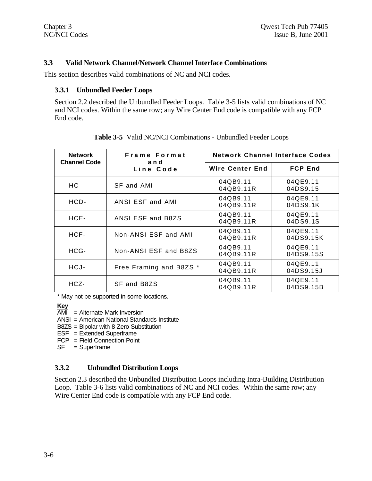#### **3.3 Valid Network Channel/Network Channel Interface Combinations**

This section describes valid combinations of NC and NCI codes.

#### **3.3.1 Unbundled Feeder Loops**

Section 2.2 described the Unbundled Feeder Loops. Table 3-5 lists valid combinations of NC and NCI codes. Within the same row; any Wire Center End code is compatible with any FCP End code.

| <b>Network</b>      | Frame Format            | <b>Network Channel Interface Codes</b> |                       |  |
|---------------------|-------------------------|----------------------------------------|-----------------------|--|
| <b>Channel Code</b> | and<br>Line Code        | <b>Wire Center End</b>                 | <b>FCP End</b>        |  |
| $HC -$              | SF and AMI              | 04QB9.11<br>04QB9.11R                  | 04QE9.11<br>04DS9.15  |  |
| HCD-                | ANSI ESF and AMI        | 04QB9.11<br>04QB9.11R                  | 04QE9.11<br>04DS9.1K  |  |
| HCE-                | ANSI ESF and B8ZS       | 04QB9.11<br>04QB9.11R                  | 04QE9.11<br>04DS9.1S  |  |
| HCF-                | Non-ANSI ESF and AMI    | 04QB9.11<br>04QB9.11R                  | 04QE9.11<br>04DS9.15K |  |
| HCG-                | Non-ANSI ESF and B8ZS   | 04QB9.11<br>04QB9.11R                  | 04QE9.11<br>04DS9.15S |  |
| HCJ-                | Free Framing and B8ZS * | 04QB9.11<br>04QB9.11R                  | 04QE9.11<br>04DS9.15J |  |
| HCZ-                | SF and B8ZS             | 04QB9.11<br>04QB9.11R                  | 04QE9.11<br>04DS9.15B |  |

**Table 3-5** Valid NC/NCI Combinations - Unbundled Feeder Loops

\* May not be supported in some locations.

#### **Key**

- $\overline{AMI}$  = Alternate Mark Inversion
- ANSI = American National Standards Institute
- B8ZS = Bipolar with 8 Zero Substitution
- ESF = Extended Superframe
- FCP = Field Connection Point
- SF = Superframe

#### **3.3.2 Unbundled Distribution Loops**

Section 2.3 described the Unbundled Distribution Loops including Intra-Building Distribution Loop. Table 3-6 lists valid combinations of NC and NCI codes. Within the same row; any Wire Center End code is compatible with any FCP End code.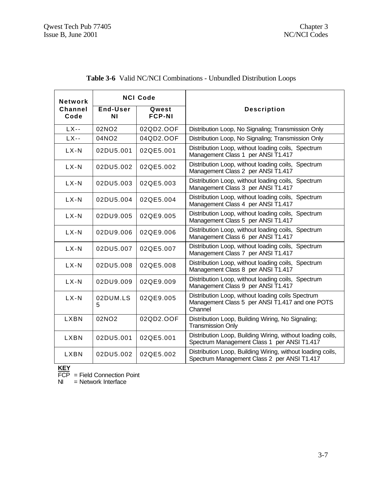| <b>Network</b>  |                   | <b>NCI Code</b>        |                                                                                                                 |
|-----------------|-------------------|------------------------|-----------------------------------------------------------------------------------------------------------------|
| Channel<br>Code | End-User<br>ΝI    | Qwest<br><b>FCP-NI</b> | <b>Description</b>                                                                                              |
| $LX$ --         | 02NO2             | 02QD2.OOF              | Distribution Loop, No Signaling; Transmission Only                                                              |
| $LX$ --         | 04NO2             | 04QD2.OOF              | Distribution Loop, No Signaling; Transmission Only                                                              |
| $LX-N$          | 02DU5.001         | 02QE5.001              | Distribution Loop, without loading coils, Spectrum<br>Management Class 1 per ANSI T1.417                        |
| $LX-N$          | 02DU5.002         | 02QE5.002              | Distribution Loop, without loading coils, Spectrum<br>Management Class 2 per ANSI T1.417                        |
| $LX-N$          | 02DU5.003         | 02QE5.003              | Distribution Loop, without loading coils, Spectrum<br>Management Class 3 per ANSI T1.417                        |
| $LX-N$          | 02DU5.004         | 02QE5.004              | Distribution Loop, without loading coils, Spectrum<br>Management Class 4 per ANSI T1.417                        |
| $LX-N$          | 02DU9.005         | 02QE9.005              | Distribution Loop, without loading coils, Spectrum<br>Management Class 5 per ANSI T1.417                        |
| $LX-N$          | 02DU9.006         | 02QE9.006              | Distribution Loop, without loading coils, Spectrum<br>Management Class 6 per ANSI T1.417                        |
| $LX-N$          | 02DU5.007         | 02QE5.007              | Distribution Loop, without loading coils, Spectrum<br>Management Class 7 per ANSI T1.417                        |
| $LX-N$          | 02DU5.008         | 02QE5.008              | Distribution Loop, without loading coils, Spectrum<br>Management Class 8 per ANSI T1.417                        |
| $LX-N$          | 02DU9.009         | 02QE9.009              | Distribution Loop, without loading coils, Spectrum<br>Management Class 9 per ANSI T1.417                        |
| $LX-N$          | 02DUM.LS<br>5     | 02QE9.005              | Distribution Loop, without loading coils Spectrum<br>Management Class 5 per ANSI T1.417 and one POTS<br>Channel |
| <b>LXBN</b>     | 02NO <sub>2</sub> | 02QD2.OOF              | Distribution Loop, Building Wiring, No Signaling;<br><b>Transmission Only</b>                                   |
| <b>LXBN</b>     | 02DU5.001         | 02QE5.001              | Distribution Loop, Building Wiring, without loading coils,<br>Spectrum Management Class 1 per ANSI T1.417       |
| LXBN            | 02DU5.002         | 02QE5.002              | Distribution Loop, Building Wiring, without loading coils,<br>Spectrum Management Class 2 per ANSI T1.417       |

### **Table 3-6** Valid NC/NCI Combinations - Unbundled Distribution Loops

**KEY**

FCP = Field Connection Point

NI = Network Interface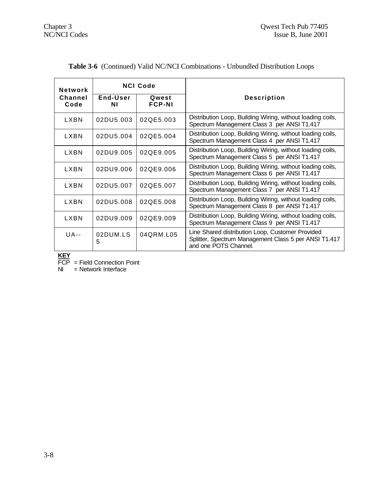| <b>Network</b>  | <b>NCI Code</b> |                        |                                                                                                                                    |  |
|-----------------|-----------------|------------------------|------------------------------------------------------------------------------------------------------------------------------------|--|
| Channel<br>Code | End-User<br>ΝI  | Qwest<br><b>FCP-NI</b> | <b>Description</b>                                                                                                                 |  |
| I XRN           | 02DU5.003       | 02QE5.003              | Distribution Loop, Building Wiring, without loading coils,<br>Spectrum Management Class 3 per ANSI T1.417                          |  |
| LXBN            | 02DU5.004       | 02QE5.004              | Distribution Loop, Building Wiring, without loading coils,<br>Spectrum Management Class 4 per ANSI T1.417                          |  |
| LXBN            | 02DU9.005       | 02QE9.005              | Distribution Loop, Building Wiring, without loading coils,<br>Spectrum Management Class 5 per ANSI T1.417                          |  |
| LXBN            | 02DU9.006       | 02QE9.006              | Distribution Loop, Building Wiring, without loading coils,<br>Spectrum Management Class 6 per ANSI T1.417                          |  |
| LXBN            | 02DU5.007       | 02QE5.007              | Distribution Loop, Building Wiring, without loading coils,<br>Spectrum Management Class 7 per ANSI T1.417                          |  |
| LXBN            | 02DU5.008       | 02QE5.008              | Distribution Loop, Building Wiring, without loading coils,<br>Spectrum Management Class 8 per ANSI T1.417                          |  |
| LXBN            | 02DU9.009       | 02QE9.009              | Distribution Loop, Building Wiring, without loading coils,<br>Spectrum Management Class 9 per ANSI T1.417                          |  |
| UA--            | 02DUM.LS<br>5   | 04QRM.L05              | Line Shared distribution Loop, Customer Provided<br>Splitter, Spectrum Management Class 5 per ANSI T1.417<br>and one POTS Channel. |  |

|  |  |  |  |  | Table 3-6 (Continued) Valid NC/NCI Combinations - Unbundled Distribution Loops |
|--|--|--|--|--|--------------------------------------------------------------------------------|
|--|--|--|--|--|--------------------------------------------------------------------------------|

**KEY**

FCP = Field Connection Point

NI = Network Interface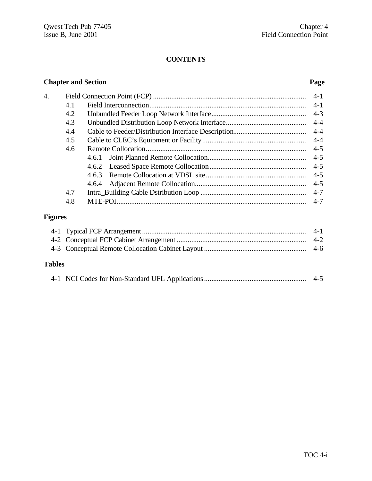#### **CONTENTS**

### **Chapter and Section Page**

| 4. |     |       | $4 - 1$ |
|----|-----|-------|---------|
|    | 4.1 |       | $4-1$   |
|    | 4.2 |       | $4 - 3$ |
|    | 4.3 |       | $4 - 4$ |
|    | 4.4 |       | $4 - 4$ |
|    | 4.5 |       | $4 - 4$ |
|    | 4.6 |       | $4 - 5$ |
|    |     | 4.6.1 | $4 - 5$ |
|    |     |       | $4 - 5$ |
|    |     | 4.6.3 | $4 - 5$ |
|    |     | 4.6.4 | $4 - 5$ |
|    | 4.7 |       | $4 - 7$ |
|    | 4.8 |       | $4 - 7$ |
|    |     |       |         |
|    |     |       |         |

### **Figures**

### **Tables**

|--|--|--|--|--|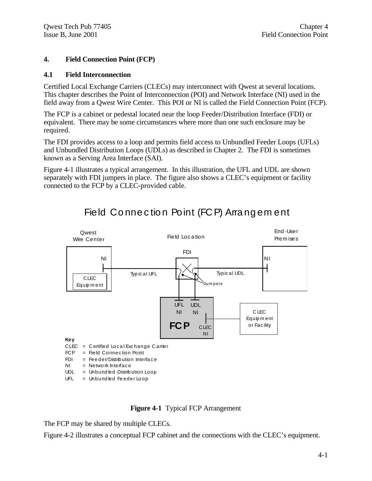#### **4. Field Connection Point (FCP)**

#### **4.1 Field Interconnection**

Certified Local Exchange Carriers (CLECs) may interconnect with Qwest at several locations. This chapter describes the Point of Interconnection (POI) and Network Interface (NI) used in the field away from a Qwest Wire Center. This POI or NI is called the Field Connection Point (FCP).

The FCP is a cabinet or pedestal located near the loop Feeder/Distribution Interface (FDI) or equivalent. There may be some circumstances where more than one such enclosure may be required.

The FDI provides access to a loop and permits field access to Unbundled Feeder Loops (UFLs) and Unbundled Distribution Loops (UDLs) as described in Chapter 2. The FDI is sometimes known as a Serving Area Interface (SAI).

Figure 4-1 illustrates a typical arrangement. In this illustration, the UFL and UDL are shown separately with FDI jumpers in place. The figure also shows a CLEC's equipment or facility connected to the FCP by a CLEC-provided cable.



# Field Connection Point (FCP) Arrangement

**Figure 4-1** Typical FCP Arrangement

The FCP may be shared by multiple CLECs.

Figure 4-2 illustrates a conceptual FCP cabinet and the connections with the CLEC's equipment.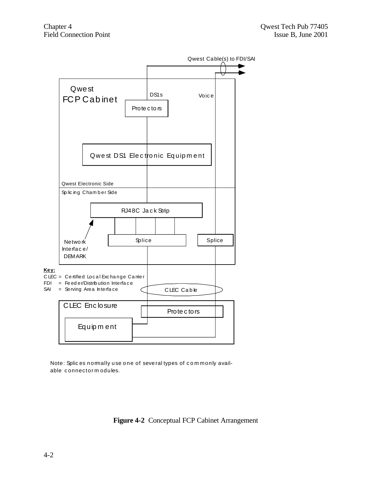

Note: Splices nomally use one of several types of commonly available connectorm odules.

Figure 4-2 Conceptual FCP Cabinet Arrangement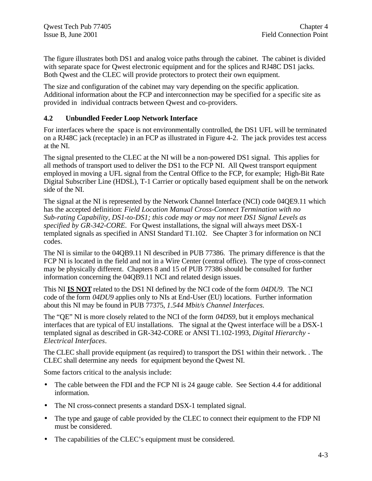The figure illustrates both DS1 and analog voice paths through the cabinet. The cabinet is divided with separate space for Qwest electronic equipment and for the splices and RJ48C DS1 jacks. Both Qwest and the CLEC will provide protectors to protect their own equipment.

The size and configuration of the cabinet may vary depending on the specific application. Additional information about the FCP and interconnection may be specified for a specific site as provided in individual contracts between Qwest and co-providers.

#### **4.2 Unbundled Feeder Loop Network Interface**

For interfaces where the space is not environmentally controlled, the DS1 UFL will be terminated on a RJ48C jack (receptacle) in an FCP as illustrated in Figure 4-2. The jack provides test access at the NI.

The signal presented to the CLEC at the NI will be a non-powered DS1 signal. This applies for all methods of transport used to deliver the DS1 to the FCP NI. All Qwest transport equipment employed in moving a UFL signal from the Central Office to the FCP, for example; High-Bit Rate Digital Subscriber Line (HDSL), T-1 Carrier or optically based equipment shall be on the network side of the NI.

The signal at the NI is represented by the Network Channel Interface (NCI) code 04QE9.11 which has the accepted definition: *Field Location Manual Cross-Connect Termination with no Sub-rating Capability, DS1-to-DS1; this code may or may not meet DS1 Signal Levels as specified by GR-342-CORE*. For Qwest installations, the signal will always meet DSX-1 templated signals as specified in ANSI Standard T1.102. See Chapter 3 for information on NCI codes.

The NI is similar to the 04QB9.11 NI described in PUB 77386. The primary difference is that the FCP NI is located in the field and not in a Wire Center (central office). The type of cross-connect may be physically different. Chapters 8 and 15 of PUB 77386 should be consulted for further information concerning the 04QB9.11 NCI and related design issues.

This NI **IS NOT** related to the DS1 NI defined by the NCI code of the form *04DU9*. The NCI code of the form *04DU9* applies only to NIs at End-User (EU) locations. Further information about this NI may be found in PUB 77375, *1.544 Mbit/s Channel Interfaces.*

The "QE" NI is more closely related to the NCI of the form *04DS9*, but it employs mechanical interfaces that are typical of EU installations. The signal at the Qwest interface will be a DSX-1 templated signal as described in GR-342-CORE or ANSI T1.102-1993, *Digital Hierarchy - Electrical Interfaces*.

The CLEC shall provide equipment (as required) to transport the DS1 within their network. . The CLEC shall determine any needs for equipment beyond the Qwest NI.

Some factors critical to the analysis include:

- The cable between the FDI and the FCP NI is 24 gauge cable. See Section 4.4 for additional information.
- The NI cross-connect presents a standard DSX-1 templated signal.
- The type and gauge of cable provided by the CLEC to connect their equipment to the FDP NI must be considered.
- The capabilities of the CLEC's equipment must be considered.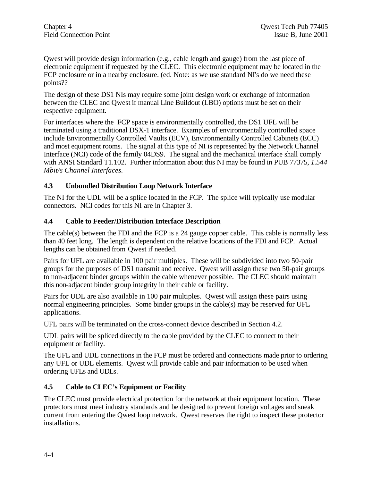Qwest will provide design information (e.g., cable length and gauge) from the last piece of electronic equipment if requested by the CLEC. This electronic equipment may be located in the FCP enclosure or in a nearby enclosure. (ed. Note: as we use standard NI's do we need these points??

The design of these DS1 NIs may require some joint design work or exchange of information between the CLEC and Qwest if manual Line Buildout (LBO) options must be set on their respective equipment.

For interfaces where the FCP space is environmentally controlled, the DS1 UFL will be terminated using a traditional DSX-1 interface. Examples of environmentally controlled space include Environmentally Controlled Vaults (ECV), Environmentally Controlled Cabinets (ECC) and most equipment rooms. The signal at this type of NI is represented by the Network Channel Interface (NCI) code of the family 04DS9. The signal and the mechanical interface shall comply with ANSI Standard T1.102. Further information about this NI may be found in PUB 77375, *1.544 Mbit/s Channel Interfaces.*

#### **4.3 Unbundled Distribution Loop Network Interface**

The NI for the UDL will be a splice located in the FCP. The splice will typically use modular connectors. NCI codes for this NI are in Chapter 3.

#### **4.4 Cable to Feeder/Distribution Interface Description**

The cable(s) between the FDI and the FCP is a 24 gauge copper cable. This cable is normally less than 40 feet long. The length is dependent on the relative locations of the FDI and FCP. Actual lengths can be obtained from Qwest if needed.

Pairs for UFL are available in 100 pair multiples. These will be subdivided into two 50-pair groups for the purposes of DS1 transmit and receive. Qwest will assign these two 50-pair groups to non-adjacent binder groups within the cable whenever possible. The CLEC should maintain this non-adjacent binder group integrity in their cable or facility.

Pairs for UDL are also available in 100 pair multiples. Qwest will assign these pairs using normal engineering principles. Some binder groups in the cable(s) may be reserved for UFL applications.

UFL pairs will be terminated on the cross-connect device described in Section 4.2.

UDL pairs will be spliced directly to the cable provided by the CLEC to connect to their equipment or facility.

The UFL and UDL connections in the FCP must be ordered and connections made prior to ordering any UFL or UDL elements. Qwest will provide cable and pair information to be used when ordering UFLs and UDLs.

#### **4.5 Cable to CLEC's Equipment or Facility**

The CLEC must provide electrical protection for the network at their equipment location. These protectors must meet industry standards and be designed to prevent foreign voltages and sneak current from entering the Qwest loop network. Qwest reserves the right to inspect these protector installations.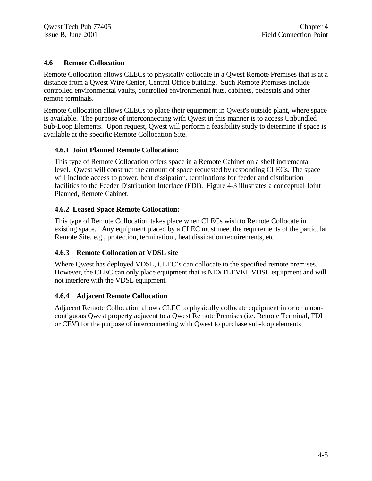#### **4.6 Remote Collocation**

Remote Collocation allows CLECs to physically collocate in a Qwest Remote Premises that is at a distance from a Qwest Wire Center, Central Office building. Such Remote Premises include controlled environmental vaults, controlled environmental huts, cabinets, pedestals and other remote terminals.

Remote Collocation allows CLECs to place their equipment in Qwest's outside plant, where space is available. The purpose of interconnecting with Qwest in this manner is to access Unbundled Sub-Loop Elements. Upon request, Qwest will perform a feasibility study to determine if space is available at the specific Remote Collocation Site.

#### **4.6.1 Joint Planned Remote Collocation:**

This type of Remote Collocation offers space in a Remote Cabinet on a shelf incremental level. Qwest will construct the amount of space requested by responding CLECs. The space will include access to power, heat dissipation, terminations for feeder and distribution facilities to the Feeder Distribution Interface (FDI). Figure 4-3 illustrates a conceptual Joint Planned, Remote Cabinet.

#### **4.6.2 Leased Space Remote Collocation:**

This type of Remote Collocation takes place when CLECs wish to Remote Collocate in existing space. Any equipment placed by a CLEC must meet the requirements of the particular Remote Site, e.g., protection, termination , heat dissipation requirements, etc.

#### **4.6.3 Remote Collocation at VDSL site**

Where Qwest has deployed VDSL, CLEC's can collocate to the specified remote premises. However, the CLEC can only place equipment that is NEXTLEVEL VDSL equipment and will not interfere with the VDSL equipment.

#### **4.6.4 Adjacent Remote Collocation**

Adjacent Remote Collocation allows CLEC to physically collocate equipment in or on a noncontiguous Qwest property adjacent to a Qwest Remote Premises (i.e. Remote Terminal, FDI or CEV) for the purpose of interconnecting with Qwest to purchase sub-loop elements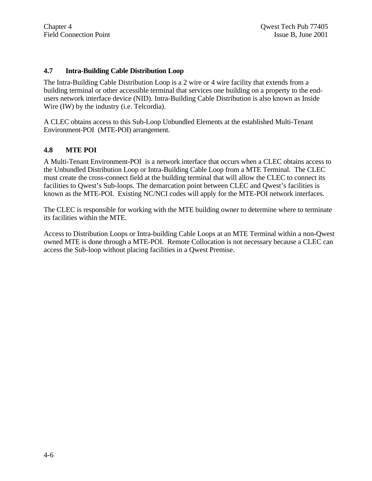#### **4.7 Intra-Building Cable Distribution Loop**

The Intra-Building Cable Distribution Loop is a 2 wire or 4 wire facility that extends from a building terminal or other accessible terminal that services one building on a property to the endusers network interface device (NID). Intra-Building Cable Distribution is also known as Inside Wire (IW) by the industry (i.e. Telcordia).

A CLEC obtains access to this Sub-Loop Unbundled Elements at the established Multi-Tenant Environment-POI (MTE-POI) arrangement.

#### **4.8 MTE POI**

A Multi-Tenant Environment-POI is a network interface that occurs when a CLEC obtains access to the Unbundled Distribution Loop or Intra-Building Cable Loop from a MTE Terminal. The CLEC must create the cross-connect field at the building terminal that will allow the CLEC to connect its facilities to Qwest's Sub-loops. The demarcation point between CLEC and Qwest's facilities is known as the MTE-POI. Existing NC/NCI codes will apply for the MTE-POI network interfaces.

The CLEC is responsible for working with the MTE building owner to determine where to terminate its facilities within the MTE.

Access to Distribution Loops or Intra-building Cable Loops at an MTE Terminal within a non-Qwest owned MTE is done through a MTE-POI. Remote Collocation is not necessary because a CLEC can access the Sub-loop without placing facilities in a Qwest Premise.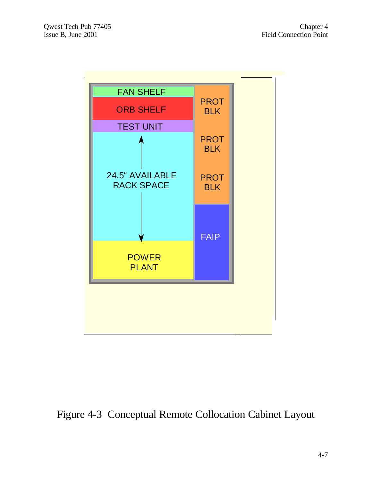

# Figure 4-3 Conceptual Remote Collocation Cabinet Layout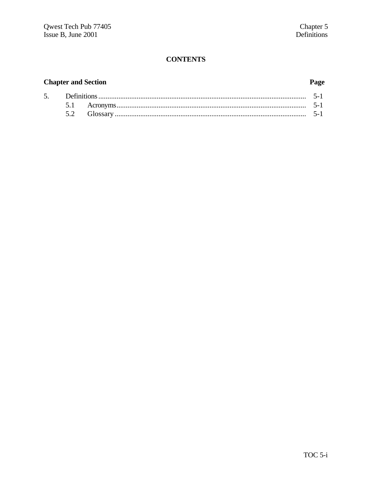### **CONTENTS**

### **Chapter and Section**

### Page

| 5. | Definitions |  |
|----|-------------|--|
|    |             |  |
|    |             |  |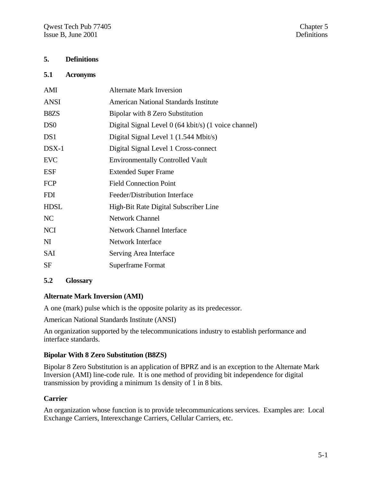#### **5. Definitions**

#### **5.1 Acronyms**

| <b>Alternate Mark Inversion</b>                      |
|------------------------------------------------------|
| <b>American National Standards Institute</b>         |
| Bipolar with 8 Zero Substitution                     |
| Digital Signal Level 0 (64 kbit/s) (1 voice channel) |
| Digital Signal Level 1 (1.544 Mbit/s)                |
| Digital Signal Level 1 Cross-connect                 |
| <b>Environmentally Controlled Vault</b>              |
| <b>Extended Super Frame</b>                          |
| <b>Field Connection Point</b>                        |
| Feeder/Distribution Interface                        |
| High-Bit Rate Digital Subscriber Line                |
| <b>Network Channel</b>                               |
| <b>Network Channel Interface</b>                     |
| Network Interface                                    |
| Serving Area Interface                               |
| <b>Superframe Format</b>                             |
|                                                      |

#### **5.2 Glossary**

#### **Alternate Mark Inversion (AMI)**

A one (mark) pulse which is the opposite polarity as its predecessor.

American National Standards Institute (ANSI)

An organization supported by the telecommunications industry to establish performance and interface standards.

#### **Bipolar With 8 Zero Substitution (B8ZS)**

Bipolar 8 Zero Substitution is an application of BPRZ and is an exception to the Alternate Mark Inversion (AMI) line-code rule. It is one method of providing bit independence for digital transmission by providing a minimum 1s density of 1 in 8 bits.

#### **Carrier**

An organization whose function is to provide telecommunications services. Examples are: Local Exchange Carriers, Interexchange Carriers, Cellular Carriers, etc.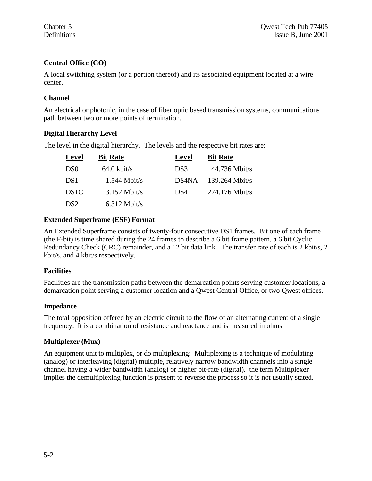#### **Central Office (CO)**

A local switching system (or a portion thereof) and its associated equipment located at a wire center.

#### **Channel**

An electrical or photonic, in the case of fiber optic based transmission systems, communications path between two or more points of termination.

#### **Digital Hierarchy Level**

The level in the digital hierarchy. The levels and the respective bit rates are:

| <b>Level</b>      | <b>Bit Rate</b>       | Level | <b>Bit Rate</b>  |
|-------------------|-----------------------|-------|------------------|
| D <sub>S0</sub>   | $64.0 \text{ kbit/s}$ | DS3   | $44.736$ Mbit/s  |
| DS1               | $1.544$ Mbit/s        | DS4NA | $139.264$ Mbit/s |
| DS <sub>1</sub> C | $3.152$ Mbit/s        | DS4   | $274.176$ Mbit/s |
| DS <sub>2</sub>   | $6.312$ Mbit/s        |       |                  |

#### **Extended Superframe (ESF) Format**

An Extended Superframe consists of twenty-four consecutive DS1 frames. Bit one of each frame (the F-bit) is time shared during the 24 frames to describe a 6 bit frame pattern, a 6 bit Cyclic Redundancy Check (CRC) remainder, and a 12 bit data link. The transfer rate of each is 2 kbit/s, 2 kbit/s, and 4 kbit/s respectively.

#### **Facilities**

Facilities are the transmission paths between the demarcation points serving customer locations, a demarcation point serving a customer location and a Qwest Central Office, or two Qwest offices.

#### **Impedance**

The total opposition offered by an electric circuit to the flow of an alternating current of a single frequency. It is a combination of resistance and reactance and is measured in ohms.

#### **Multiplexer (Mux)**

An equipment unit to multiplex, or do multiplexing: Multiplexing is a technique of modulating (analog) or interleaving (digital) multiple, relatively narrow bandwidth channels into a single channel having a wider bandwidth (analog) or higher bit-rate (digital). the term Multiplexer implies the demultiplexing function is present to reverse the process so it is not usually stated.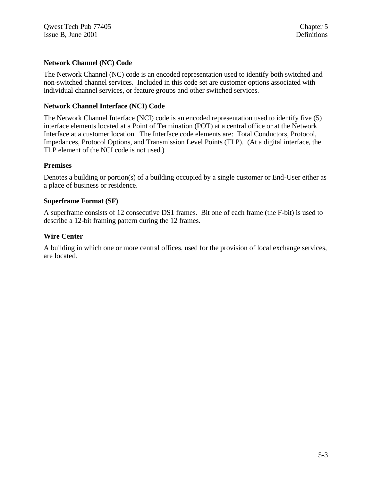#### **Network Channel (NC) Code**

The Network Channel (NC) code is an encoded representation used to identify both switched and non-switched channel services. Included in this code set are customer options associated with individual channel services, or feature groups and other switched services.

#### **Network Channel Interface (NCI) Code**

The Network Channel Interface (NCI) code is an encoded representation used to identify five (5) interface elements located at a Point of Termination (POT) at a central office or at the Network Interface at a customer location. The Interface code elements are: Total Conductors, Protocol, Impedances, Protocol Options, and Transmission Level Points (TLP). (At a digital interface, the TLP element of the NCI code is not used.)

#### **Premises**

Denotes a building or portion(s) of a building occupied by a single customer or End-User either as a place of business or residence.

#### **Superframe Format (SF)**

A superframe consists of 12 consecutive DS1 frames. Bit one of each frame (the F-bit) is used to describe a 12-bit framing pattern during the 12 frames.

#### **Wire Center**

A building in which one or more central offices, used for the provision of local exchange services, are located.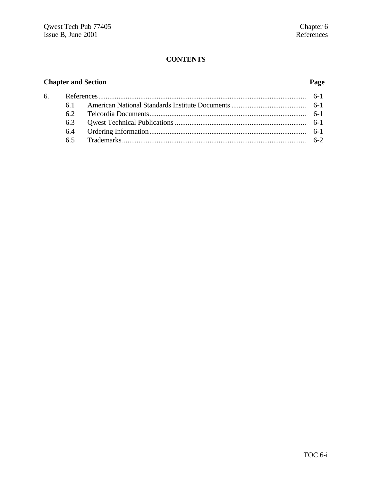### **CONTENTS**

### **Chapter and Section Page**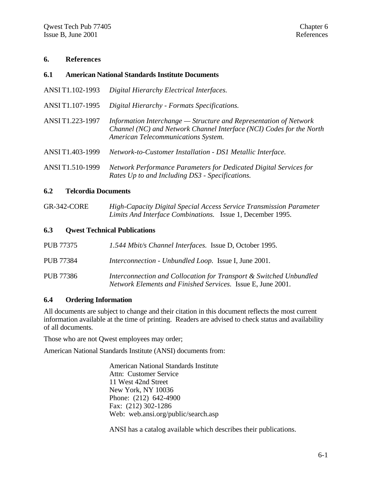#### **6. References**

| 6.1 | <b>American National Standards Institute Documents</b> |  |  |  |
|-----|--------------------------------------------------------|--|--|--|
|-----|--------------------------------------------------------|--|--|--|

- ANSI T1.102-1993 *Digital Hierarchy Electrical Interfaces.*
- ANSI T1.107-1995 *Digital Hierarchy Formats Specifications.*
- ANSI T1.223-1997 *Information Interchange Structure and Representation of Network Channel (NC) and Network Channel Interface (NCI) Codes for the North American Telecommunications System.*
- ANSI T1.403-1999 *Network-to-Customer Installation DS1 Metallic Interface.*
- ANSI T1.510-1999 *Network Performance Parameters for Dedicated Digital Services for Rates Up to and Including DS3 - Specifications.*

#### **6.2 Telcordia Documents**

GR-342-CORE *High-Capacity Digital Special Access Service Transmission Parameter Limits And Interface Combinations.* Issue 1, December 1995.

#### **6.3 Qwest Technical Publications**

| PUB 77375 | 1.544 Mbit/s Channel Interfaces. Issue D, October 1995.                                                                           |
|-----------|-----------------------------------------------------------------------------------------------------------------------------------|
| PUB 77384 | <i>Interconnection - Unbundled Loop.</i> Issue I, June 2001.                                                                      |
| PUB 77386 | Interconnection and Collocation for Transport & Switched Unbundled<br>Network Elements and Finished Services. Issue E, June 2001. |

#### **6.4 Ordering Information**

All documents are subject to change and their citation in this document reflects the most current information available at the time of printing. Readers are advised to check status and availability of all documents.

Those who are not Qwest employees may order;

American National Standards Institute (ANSI) documents from:

American National Standards Institute Attn: Customer Service 11 West 42nd Street New York, NY 10036 Phone: (212) 642-4900 Fax: (212) 302-1286 Web: web.ansi.org/public/search.asp

ANSI has a catalog available which describes their publications.